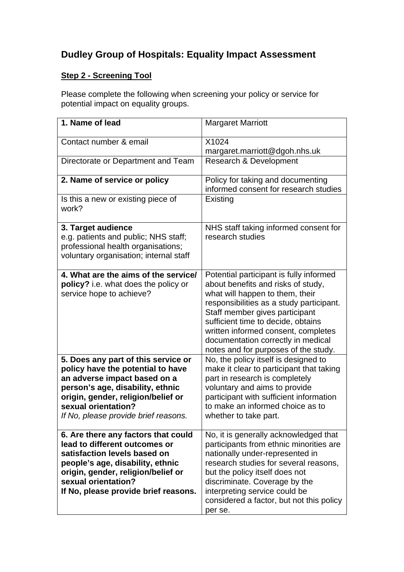# **Dudley Group of Hospitals: Equality Impact Assessment**

## **Step 2 - Screening Tool**

Please complete the following when screening your policy or service for potential impact on equality groups.

| 1. Name of lead                             | <b>Margaret Marriott</b>                 |
|---------------------------------------------|------------------------------------------|
| Contact number & email                      | X1024                                    |
|                                             | margaret.marriott@dgoh.nhs.uk            |
| Directorate or Department and Team          | <b>Research &amp; Development</b>        |
| 2. Name of service or policy                | Policy for taking and documenting        |
|                                             | informed consent for research studies    |
| Is this a new or existing piece of<br>work? | Existing                                 |
| 3. Target audience                          | NHS staff taking informed consent for    |
| e.g. patients and public; NHS staff;        | research studies                         |
|                                             |                                          |
| professional health organisations;          |                                          |
| voluntary organisation; internal staff      |                                          |
|                                             |                                          |
| 4. What are the aims of the service/        | Potential participant is fully informed  |
| policy? i.e. what does the policy or        | about benefits and risks of study,       |
| service hope to achieve?                    | what will happen to them, their          |
|                                             | responsibilities as a study participant. |
|                                             | Staff member gives participant           |
|                                             | sufficient time to decide, obtains       |
|                                             |                                          |
|                                             | written informed consent, completes      |
|                                             | documentation correctly in medical       |
|                                             | notes and for purposes of the study.     |
| 5. Does any part of this service or         | No, the policy itself is designed to     |
| policy have the potential to have           | make it clear to participant that taking |
| an adverse impact based on a                | part in research is completely           |
| person's age, disability, ethnic            | voluntary and aims to provide            |
| origin, gender, religion/belief or          | participant with sufficient information  |
| sexual orientation?                         | to make an informed choice as to         |
| If No, please provide brief reasons.        | whether to take part.                    |
|                                             |                                          |
| 6. Are there any factors that could         | No, it is generally acknowledged that    |
| lead to different outcomes or               | participants from ethnic minorities are  |
| satisfaction levels based on                |                                          |
|                                             | nationally under-represented in          |
| people's age, disability, ethnic            | research studies for several reasons,    |
| origin, gender, religion/belief or          | but the policy itself does not           |
| sexual orientation?                         | discriminate. Coverage by the            |
| If No, please provide brief reasons.        | interpreting service could be            |
|                                             | considered a factor, but not this policy |
|                                             | per se.                                  |